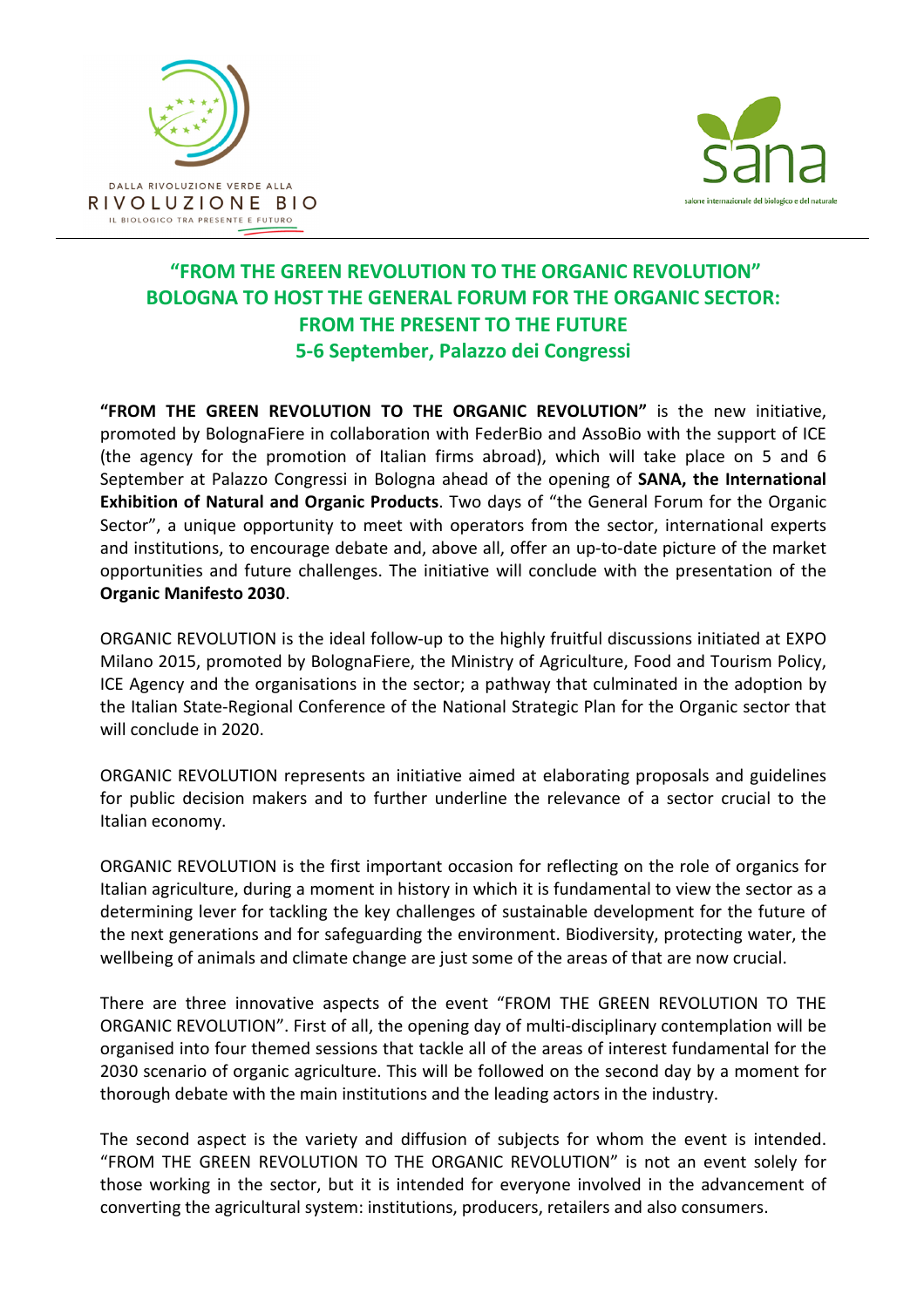



## **"FROM THE GREEN REVOLUTION TO THE ORGANIC REVOLUTION" BOLOGNA TO HOST THE GENERAL FORUM FOR THE ORGANIC SECTOR: FROM THE PRESENT TO THE FUTURE 5-6 September, Palazzo dei Congressi**

**"FROM THE GREEN REVOLUTION TO THE ORGANIC REVOLUTION"** is the new initiative, promoted by BolognaFiere in collaboration with FederBio and AssoBio with the support of ICE (the agency for the promotion of Italian firms abroad), which will take place on 5 and 6 September at Palazzo Congressi in Bologna ahead of the opening of **SANA, the International Exhibition of Natural and Organic Products**. Two days of "the General Forum for the Organic Sector", a unique opportunity to meet with operators from the sector, international experts and institutions, to encourage debate and, above all, offer an up-to-date picture of the market opportunities and future challenges. The initiative will conclude with the presentation of the **Organic Manifesto 2030**.

ORGANIC REVOLUTION is the ideal follow-up to the highly fruitful discussions initiated at EXPO Milano 2015, promoted by BolognaFiere, the Ministry of Agriculture, Food and Tourism Policy, ICE Agency and the organisations in the sector; a pathway that culminated in the adoption by the Italian State-Regional Conference of the National Strategic Plan for the Organic sector that will conclude in 2020.

ORGANIC REVOLUTION represents an initiative aimed at elaborating proposals and guidelines for public decision makers and to further underline the relevance of a sector crucial to the Italian economy.

ORGANIC REVOLUTION is the first important occasion for reflecting on the role of organics for Italian agriculture, during a moment in history in which it is fundamental to view the sector as a determining lever for tackling the key challenges of sustainable development for the future of the next generations and for safeguarding the environment. Biodiversity, protecting water, the wellbeing of animals and climate change are just some of the areas of that are now crucial.

There are three innovative aspects of the event "FROM THE GREEN REVOLUTION TO THE ORGANIC REVOLUTION". First of all, the opening day of multi-disciplinary contemplation will be organised into four themed sessions that tackle all of the areas of interest fundamental for the 2030 scenario of organic agriculture. This will be followed on the second day by a moment for thorough debate with the main institutions and the leading actors in the industry.

The second aspect is the variety and diffusion of subjects for whom the event is intended. "FROM THE GREEN REVOLUTION TO THE ORGANIC REVOLUTION" is not an event solely for those working in the sector, but it is intended for everyone involved in the advancement of converting the agricultural system: institutions, producers, retailers and also consumers.